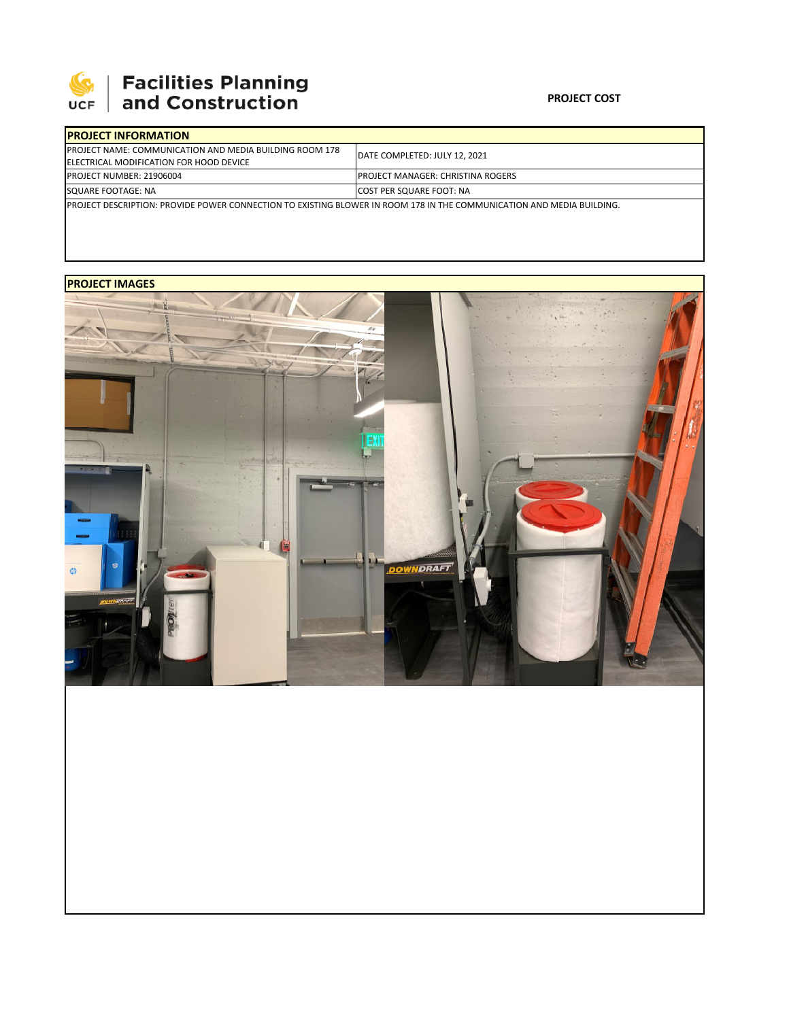

# **SEPTE AND Facilities Planning**<br>UCF and Construction

#### **PROJECT COST**

| <b>IPROJECT INFORMATION</b>                                                                                                   |                                           |  |  |  |
|-------------------------------------------------------------------------------------------------------------------------------|-------------------------------------------|--|--|--|
| <b>IPROJECT NAME: COMMUNICATION AND MEDIA BUILDING ROOM 178</b><br><b>IELECTRICAL MODIFICATION FOR HOOD DEVICE</b>            | DATE COMPLETED: JULY 12, 2021             |  |  |  |
| <b>IPROJECT NUMBER: 21906004</b>                                                                                              | <b>IPROJECT MANAGER: CHRISTINA ROGERS</b> |  |  |  |
| SQUARE FOOTAGE: NA                                                                                                            | <b>COST PER SQUARE FOOT: NA</b>           |  |  |  |
| <b>IPROJECT DESCRIPTION: PROVIDE POWER CONNECTION TO EXISTING BLOWER IN ROOM 178 IN THE COMMUNICATION AND MEDIA BUILDING.</b> |                                           |  |  |  |

### **PROJECT IMAGES**